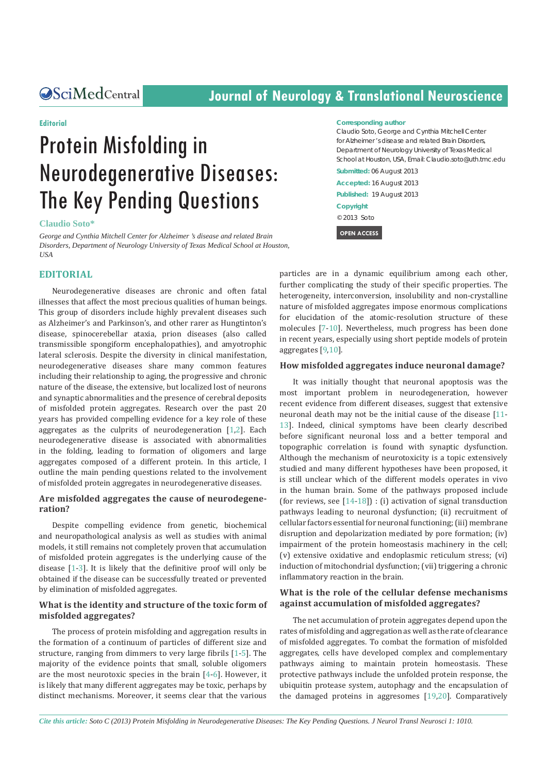# **CSciMedCentral Journal of Neurology & Translational Neuroscience**

#### **Editorial**

# Protein Misfolding in Neurodegenerative Diseases: The Key Pending Questions

**Claudio Soto\***

*George and Cynthia Mitchell Center for Alzheimer 's disease and related Brain Disorders, Department of Neurology University of Texas Medical School at Houston, USA*

#### **EDITORIAL**

Neurodegenerative diseases are chronic and often fatal illnesses that affect the most precious qualities of human beings. This group of disorders include highly prevalent diseases such as Alzheimer's and Parkinson's, and other rarer as Hungtinton's disease, spinocerebellar ataxia, prion diseases (also called transmissible spongiform encephalopathies), and amyotrophic lateral sclerosis. Despite the diversity in clinical manifestation, neurodegenerative diseases share many common features including their relationship to aging, the progressive and chronic nature of the disease, the extensive, but localized lost of neurons and synaptic abnormalities and the presence of cerebral deposits of misfolded protein aggregates. Research over the past 20 years has provided compelling evidence for a key role of these aggregates as the culprits of neurodegeneration [\[1](#page-2-0),[2\]](#page-2-1). Each neurodegenerative disease is associated with abnormalities in the folding, leading to formation of oligomers and large aggregates composed of a different protein. In this article, I outline the main pending questions related to the involvement of misfolded protein aggregates in neurodegenerative diseases.

#### **Are misfolded aggregates the cause of neurodegeneration?**

Despite compelling evidence from genetic, biochemical and neuropathological analysis as well as studies with animal models, it still remains not completely proven that accumulation of misfolded protein aggregates is the underlying cause of the disease [[1-](#page-2-0)[3](#page-2-2)]. It is likely that the definitive proof will only be obtained if the disease can be successfully treated or prevented by elimination of misfolded aggregates.

#### **What is the identity and structure of the toxic form of misfolded aggregates?**

The process of protein misfolding and aggregation results in the formation of a continuum of particles of different size and structure, ranging from dimmers to very large fibrils [[1](#page-2-0)[-5](#page-2-3)]. The majority of the evidence points that small, soluble oligomers are the most neurotoxic species in the brain [\[4](#page-2-4)[-6](#page-2-5)]. However, it is likely that many different aggregates may be toxic, perhaps by distinct mechanisms. Moreover, it seems clear that the various

#### **Corresponding author**

Claudio Soto, George and Cynthia Mitchell Center for Alzheimer 's disease and related Brain Disorders, Department of Neurology University of Texas Medical School at Houston, USA, Email: Claudio.soto@uth.tmc.edu

**Submitted:** 06 August 2013 **Accepted:** 16 August 2013 **Published:** 19 August 2013 **Copyright** © 2013 Soto

 **OPEN ACCESS** 

particles are in a dynamic equilibrium among each other, further complicating the study of their specific properties. The heterogeneity, interconversion, insolubility and non-crystalline nature of misfolded aggregates impose enormous complications for elucidation of the atomic-resolution structure of these molecules [\[7](#page-2-6)[-10](#page-2-7)]. Nevertheless, much progress has been done in recent years, especially using short peptide models of protein aggregates [\[9](#page-2-8)[,10](#page-2-7)].

#### **How misfolded aggregates induce neuronal damage?**

It was initially thought that neuronal apoptosis was the most important problem in neurodegeneration, however recent evidence from different diseases, suggest that extensive neuronal death may not be the initial cause of the disease [[11-](#page-2-9) [13\]](#page-2-10). Indeed, clinical symptoms have been clearly described before significant neuronal loss and a better temporal and topographic correlation is found with synaptic dysfunction. Although the mechanism of neurotoxicity is a topic extensively studied and many different hypotheses have been proposed, it is still unclear which of the different models operates in vivo in the human brain. Some of the pathways proposed include (for reviews, see  $[14-18]$  $[14-18]$  $[14-18]$ ) : (i) activation of signal transduction pathways leading to neuronal dysfunction; (ii) recruitment of cellular factors essential for neuronal functioning; (iii) membrane disruption and depolarization mediated by pore formation; (iv) impairment of the protein homeostasis machinery in the cell; (v) extensive oxidative and endoplasmic reticulum stress; (vi) induction of mitochondrial dysfunction; (vii) triggering a chronic inflammatory reaction in the brain.

#### **What is the role of the cellular defense mechanisms against accumulation of misfolded aggregates?**

The net accumulation of protein aggregates depend upon the rates of misfolding and aggregation as well as the rate of clearance of misfolded aggregates. To combat the formation of misfolded aggregates, cells have developed complex and complementary pathways aiming to maintain protein homeostasis. These protective pathways include the unfolded protein response, the ubiquitin protease system, autophagy and the encapsulation of the damaged proteins in aggresomes [[19,](#page-2-13)[20\]](#page-2-14). Comparatively

*Cite this article: Soto C (2013) Protein Misfolding in Neurodegenerative Diseases: The Key Pending Questions. J Neurol Transl Neurosci 1: 1010.*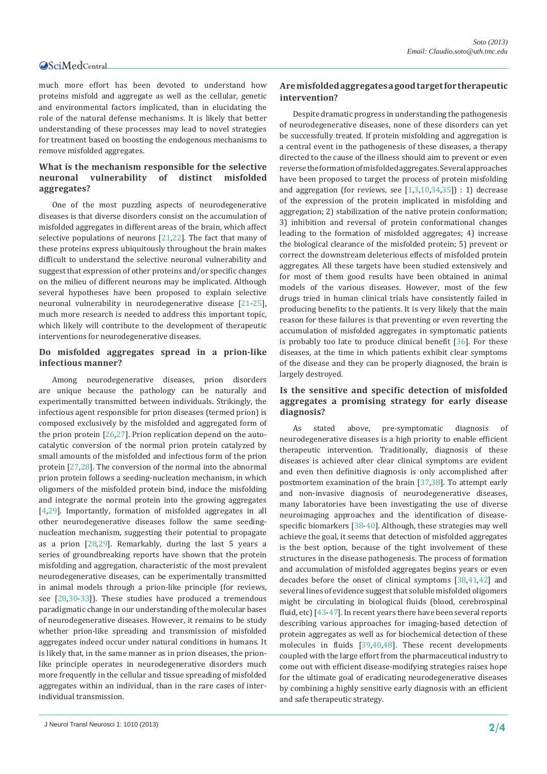#### **OSciMedCentral**

much more effort has been devoted to understand how proteins misfold and aggregate as well as the cellular, genetic and environmental factors implicated, than in elucidating the role of the natural defense mechanisms. It is likely that better understanding of these processes may lead to novel strategies for treatment based on boosting the endogenous mechanisms to remove misfolded aggregates.

### **What is the mechanism responsible for the selective neuronal vulnerability of distinct misfolded aggregates?**

One of the most puzzling aspects of neurodegenerative diseases is that diverse disorders consist on the accumulation of misfolded aggregates in different areas of the brain, which affect selective populations of neurons [[21,](#page-2-15)[22\]](#page-2-16). The fact that many of these proteins express ubiquitously throughout the brain makes difficult to understand the selective neuronal vulnerability and suggest that expression of other proteins and/or specific changes on the milieu of different neurons may be implicated. Although several hypotheses have been proposed to explain selective neuronal vulnerability in neurodegenerative disease [[21-](#page-2-15)[25\]](#page-2-17), much more research is needed to address this important topic, which likely will contribute to the development of therapeutic interventions for neurodegenerative diseases.

#### **Do misfolded aggregates spread in a prion-like infectious manner?**

Among neurodegenerative diseases, prion disorders are unique because the pathology can be naturally and experimentally transmitted between individuals. Strikingly, the infectious agent responsible for prion diseases (termed prion) is composed exclusively by the misfolded and aggregated form of the prion protein [[26,](#page-2-18)[27\]](#page-2-19). Prion replication depend on the autocatalytic conversion of the normal prion protein catalyzed by small amounts of the misfolded and infectious form of the prion protein [\[27](#page-2-19)[,28](#page-2-20)]. The conversion of the normal into the abnormal prion protein follows a seeding-nucleation mechanism, in which oligomers of the misfolded protein bind, induce the misfolding and integrate the normal protein into the growing aggregates [[4](#page-2-4)[,29](#page-2-21)]. Importantly, formation of misfolded aggregates in all other neurodegenerative diseases follow the same seedingnucleation mechanism, suggesting their potential to propagate as a prion  $[28,29]$  $[28,29]$  $[28,29]$  $[28,29]$ . Remarkably, during the last 5 years a series of groundbreaking reports have shown that the protein misfolding and aggregation, characteristic of the most prevalent neurodegenerative diseases, can be experimentally transmitted in animal models through a prion-like principle (for reviews, see [[28,](#page-2-20)[30-](#page-2-22)[33\]](#page-2-23)). These studies have produced a tremendous paradigmatic change in our understanding of the molecular bases of neurodegenerative diseases. However, it remains to be study whether prion-like spreading and transmission of misfolded aggregates indeed occur under natural conditions in humans. It is likely that, in the same manner as in prion diseases, the prionlike principle operates in neurodegenerative disorders much more frequently in the cellular and tissue spreading of misfolded aggregates within an individual, than in the rare cases of interindividual transmission.

#### **Are misfolded aggregates a good target for therapeutic intervention?**

Despite dramatic progress in understanding the pathogenesis of neurodegenerative diseases, none of these disorders can yet be successfully treated. If protein misfolding and aggregation is a central event in the pathogenesis of these diseases, a therapy directed to the cause of the illness should aim to prevent or even reverse the formation of misfolded aggregates. Several approaches have been proposed to target the process of protein misfolding and aggregation (for reviews, see  $[1,3,10,34,35]$  $[1,3,10,34,35]$  $[1,3,10,34,35]$  $[1,3,10,34,35]$  $[1,3,10,34,35]$  $[1,3,10,34,35]$  $[1,3,10,34,35]$ ) : 1) decrease of the expression of the protein implicated in misfolding and aggregation; 2) stabilization of the native protein conformation; 3) inhibition and reversal of protein conformational changes leading to the formation of misfolded aggregates; 4) increase the biological clearance of the misfolded protein; 5) prevent or correct the downstream deleterious effects of misfolded protein aggregates. All these targets have been studied extensively and for most of them good results have been obtained in animal models of the various diseases. However, most of the few drugs tried in human clinical trials have consistently failed in producing benefits to the patients. It is very likely that the main reason for these failures is that preventing or even reverting the accumulation of misfolded aggregates in symptomatic patients is probably too late to produce clinical benefit [[36\]](#page-2-26). For these diseases, at the time in which patients exhibit clear symptoms of the disease and they can be properly diagnosed, the brain is largely destroyed.

### **Is the sensitive and specific detection of misfolded aggregates a promising strategy for early disease diagnosis?**

As stated above, pre-symptomatic diagnosis of neurodegenerative diseases is a high priority to enable efficient therapeutic intervention. Traditionally, diagnosis of these diseases is achieved after clear clinical symptoms are evident and even then definitive diagnosis is only accomplished after postmortem examination of the brain [[37](#page-2-27)[,38](#page-2-28)]. To attempt early and non-invasive diagnosis of neurodegenerative diseases, many laboratories have been investigating the use of diverse neuroimaging approaches and the identification of disease-specific biomarkers [[38-](#page-2-28)[40\]](#page-2-29). Although, these strategies may well achieve the goal, it seems that detection of misfolded aggregates is the best option, because of the tight involvement of these structures in the disease pathogenesis. The process of formation and accumulation of misfolded aggregates begins years or even decades before the onset of clinical symptoms [[38,](#page-2-28)[41,](#page-2-30)[42\]](#page-2-31) and several lines of evidence suggest that soluble misfolded oligomers might be circulating in biological fluids (blood, cerebrospinal fluid, etc) [[43](#page-2-32)[-47](#page-3-0)]. In recent years there have been several reports describing various approaches for imaging-based detection of protein aggregates as well as for biochemical detection of these molecules in fluids [[39,](#page-2-33)[40,](#page-2-29)[48\]](#page-3-1). These recent developments coupled with the large effort from the pharmaceutical industry to come out with efficient disease-modifying strategies raises hope for the ultimate goal of eradicating neurodegenerative diseases by combining a highly sensitive early diagnosis with an efficient and safe therapeutic strategy.

J Neurol Transl Neurosci 1: 1010 (2013) **2/4**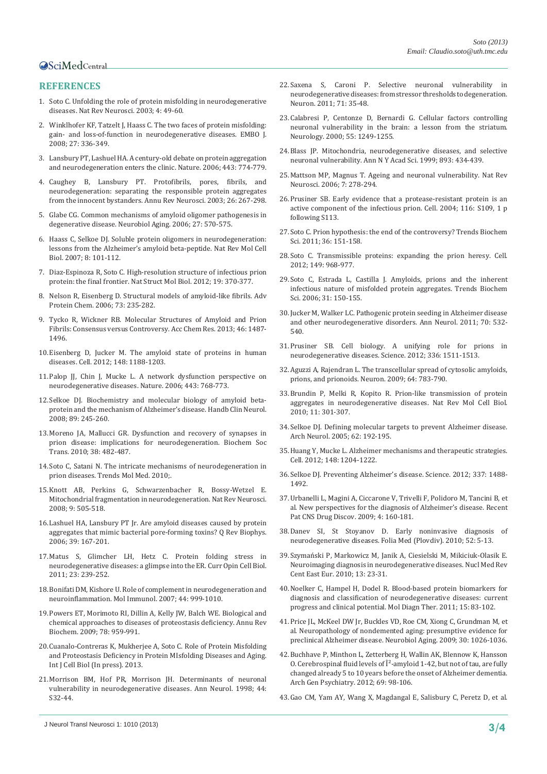## **OSciMedCentral**

### **REFERENCES**

- <span id="page-2-0"></span>1. [Soto C. Unfolding the role of protein misfolding in neurodegenerative](http://www.ncbi.nlm.nih.gov/pubmed/12511861)  [diseases. Nat Rev Neurosci. 2003; 4: 49-60.](http://www.ncbi.nlm.nih.gov/pubmed/12511861)
- <span id="page-2-1"></span>2. [Winklhofer KF, Tatzelt J, Haass C. The two faces of protein misfolding:](http://www.ncbi.nlm.nih.gov/pubmed/18216876)  [gain- and loss-of-function in neurodegenerative diseases. EMBO J.](http://www.ncbi.nlm.nih.gov/pubmed/18216876)  [2008; 27: 336-349.](http://www.ncbi.nlm.nih.gov/pubmed/18216876)
- <span id="page-2-2"></span>3. [Lansbury PT, Lashuel HA. A century-old debate on protein aggregation](http://www.ncbi.nlm.nih.gov/pubmed/17051203)  [and neurodegeneration enters the clinic. Nature. 2006; 443: 774-779.](http://www.ncbi.nlm.nih.gov/pubmed/17051203)
- <span id="page-2-4"></span>4. [Caughey B, Lansbury PT. Protofibrils, pores, fibrils, and](http://www.ncbi.nlm.nih.gov/pubmed/12704221)  [neurodegeneration: separating the responsible protein aggregates](http://www.ncbi.nlm.nih.gov/pubmed/12704221)  [from the innocent bystanders. Annu Rev Neurosci. 2003; 26: 267-298.](http://www.ncbi.nlm.nih.gov/pubmed/12704221)
- <span id="page-2-3"></span>5. [Glabe CG. Common mechanisms of amyloid oligomer pathogenesis in](http://www.ncbi.nlm.nih.gov/pubmed/16481071)  [degenerative disease. Neurobiol Aging. 2006; 27: 570-575.](http://www.ncbi.nlm.nih.gov/pubmed/16481071)
- <span id="page-2-5"></span>6. [Haass C, Selkoe DJ. Soluble protein oligomers in neurodegeneration:](http://www.ncbi.nlm.nih.gov/pubmed/17245412)  [lessons from the Alzheimer's amyloid beta-peptide. Nat Rev Mol Cell](http://www.ncbi.nlm.nih.gov/pubmed/17245412)  [Biol. 2007; 8: 101-112.](http://www.ncbi.nlm.nih.gov/pubmed/17245412)
- <span id="page-2-6"></span>7. [Diaz-Espinoza R, Soto C. High-resolution structure of infectious prion](http://www.ncbi.nlm.nih.gov/pubmed/22472622)  [protein: the final frontier. Nat Struct Mol Biol. 2012; 19: 370-377.](http://www.ncbi.nlm.nih.gov/pubmed/22472622)
- 8. [Nelson R, Eisenberg D. Structural models of amyloid-like fibrils. Adv](http://www.ncbi.nlm.nih.gov/pubmed/17190616)  [Protein Chem. 2006; 73: 235-282.](http://www.ncbi.nlm.nih.gov/pubmed/17190616)
- <span id="page-2-8"></span>9. [Tycko R, Wickner RB. Molecular Structures of Amyloid and Prion](http://www.ncbi.nlm.nih.gov/pubmed/23294335)  [Fibrils: Consensus versus Controversy. Acc Chem Res. 2013; 46: 1487-](http://www.ncbi.nlm.nih.gov/pubmed/23294335) [1496.](http://www.ncbi.nlm.nih.gov/pubmed/23294335)
- <span id="page-2-7"></span>10.[Eisenberg D, Jucker M. The amyloid state of proteins in human](http://www.ncbi.nlm.nih.gov/pubmed/22424229)  [diseases. Cell. 2012; 148: 1188-1203.](http://www.ncbi.nlm.nih.gov/pubmed/22424229)
- <span id="page-2-9"></span>11.[Palop JJ, Chin J, Mucke L. A network dysfunction perspective on](http://www.ncbi.nlm.nih.gov/pubmed/17051202)  [neurodegenerative diseases. Nature. 2006; 443: 768-773.](http://www.ncbi.nlm.nih.gov/pubmed/17051202)
- 12.[Selkoe DJ. Biochemistry and molecular biology of amyloid beta](http://www.ncbi.nlm.nih.gov/pubmed/18631749)[protein and the mechanism of Alzheimer's disease. Handb Clin Neurol.](http://www.ncbi.nlm.nih.gov/pubmed/18631749)  [2008; 89: 245-260.](http://www.ncbi.nlm.nih.gov/pubmed/18631749)
- <span id="page-2-10"></span>13.[Moreno JA, Mallucci GR. Dysfunction and recovery of synapses in](http://www.ncbi.nlm.nih.gov/pubmed/20298207)  [prion disease: implications for neurodegeneration. Biochem Soc](http://www.ncbi.nlm.nih.gov/pubmed/20298207)  [Trans. 2010; 38: 482-487.](http://www.ncbi.nlm.nih.gov/pubmed/20298207)
- <span id="page-2-11"></span>14.[Soto C, Satani N. The intricate mechanisms of neurodegeneration in](http://www.ncbi.nlm.nih.gov/pubmed/20889378)  [prion diseases. Trends Mol Med. 2010;.](http://www.ncbi.nlm.nih.gov/pubmed/20889378)
- 15.[Knott AB, Perkins G, Schwarzenbacher R, Bossy-Wetzel E.](http://www.ncbi.nlm.nih.gov/pubmed/18568013)  [Mitochondrial fragmentation in neurodegeneration. Nat Rev Neurosci.](http://www.ncbi.nlm.nih.gov/pubmed/18568013)  [2008; 9: 505-518.](http://www.ncbi.nlm.nih.gov/pubmed/18568013)
- 16.[Lashuel HA, Lansbury PT Jr. Are amyloid diseases caused by protein](http://www.ncbi.nlm.nih.gov/pubmed/16978447)  [aggregates that mimic bacterial pore-forming toxins? Q Rev Biophys.](http://www.ncbi.nlm.nih.gov/pubmed/16978447)  [2006; 39: 167-201.](http://www.ncbi.nlm.nih.gov/pubmed/16978447)
- 17.[Matus S, Glimcher LH, Hetz C. Protein folding stress in](http://www.ncbi.nlm.nih.gov/pubmed/21288706)  [neurodegenerative diseases: a glimpse into the ER. Curr Opin Cell Biol.](http://www.ncbi.nlm.nih.gov/pubmed/21288706)  [2011; 23: 239-252.](http://www.ncbi.nlm.nih.gov/pubmed/21288706)
- <span id="page-2-12"></span>18.[Bonifati DM, Kishore U. Role of complement in neurodegeneration and](http://www.ncbi.nlm.nih.gov/pubmed/16698083)  [neuroinflammation. Mol Immunol. 2007; 44: 999-1010.](http://www.ncbi.nlm.nih.gov/pubmed/16698083)
- <span id="page-2-13"></span>19.[Powers ET, Morimoto RI, Dillin A, Kelly JW, Balch WE. Biological and](http://www.ncbi.nlm.nih.gov/pubmed/19298183)  [chemical approaches to diseases of proteostasis deficiency. Annu Rev](http://www.ncbi.nlm.nih.gov/pubmed/19298183)  [Biochem. 2009; 78: 959-991.](http://www.ncbi.nlm.nih.gov/pubmed/19298183)
- <span id="page-2-14"></span>20.Cuanalo-Contreras K, Mukherjee A, Soto C. Role of Protein Misfolding and Proteostasis Deficiency in Protein MIsfolding Diseases and Aging. Int J Cell Biol (In press). 2013.
- <span id="page-2-15"></span>21.[Morrison BM, Hof PR, Morrison JH. Determinants of neuronal](http://www.ncbi.nlm.nih.gov/pubmed/9749571)  [vulnerability in neurodegenerative diseases. Ann Neurol. 1998; 44:](http://www.ncbi.nlm.nih.gov/pubmed/9749571)  [S32-44.](http://www.ncbi.nlm.nih.gov/pubmed/9749571)
- <span id="page-2-16"></span>22.[Saxena S, Caroni P. Selective neuronal vulnerability in](http://www.ncbi.nlm.nih.gov/pubmed/21745636)  [neurodegenerative diseases: from stressor thresholds to degeneration.](http://www.ncbi.nlm.nih.gov/pubmed/21745636)  [Neuron. 2011; 71: 35-48.](http://www.ncbi.nlm.nih.gov/pubmed/21745636)
- 23.[Calabresi P, Centonze D, Bernardi G. Cellular factors controlling](http://www.ncbi.nlm.nih.gov/pubmed/11092223)  [neuronal vulnerability in the brain: a lesson from the striatum.](http://www.ncbi.nlm.nih.gov/pubmed/11092223)  [Neurology. 2000; 55: 1249-1255.](http://www.ncbi.nlm.nih.gov/pubmed/11092223)
- 24.[Blass JP. Mitochondria, neurodegenerative diseases, and selective](http://www.ncbi.nlm.nih.gov/pubmed/10672284)  [neuronal vulnerability. Ann N Y Acad Sci. 1999; 893: 434-439.](http://www.ncbi.nlm.nih.gov/pubmed/10672284)
- <span id="page-2-17"></span>25.[Mattson MP, Magnus T. Ageing and neuronal vulnerability. Nat Rev](http://www.ncbi.nlm.nih.gov/pubmed/16552414)  [Neurosci. 2006; 7: 278-294.](http://www.ncbi.nlm.nih.gov/pubmed/16552414)
- <span id="page-2-18"></span>26.[Prusiner SB. Early evidence that a protease-resistant protein is an](http://www.ncbi.nlm.nih.gov/pubmed/15055596)  [active component of the infectious prion. Cell. 2004; 116: S109, 1 p](http://www.ncbi.nlm.nih.gov/pubmed/15055596)  [following S113.](http://www.ncbi.nlm.nih.gov/pubmed/15055596)
- <span id="page-2-19"></span>27.[Soto C. Prion hypothesis: the end of the controversy? Trends Biochem](http://www.ncbi.nlm.nih.gov/pubmed/21130657)  [Sci. 2011; 36: 151-158.](http://www.ncbi.nlm.nih.gov/pubmed/21130657)
- <span id="page-2-20"></span>28.[Soto C. Transmissible proteins: expanding the prion heresy. Cell.](http://www.ncbi.nlm.nih.gov/pubmed/22632966)  [2012; 149: 968-977.](http://www.ncbi.nlm.nih.gov/pubmed/22632966)
- <span id="page-2-21"></span>29.[Soto C, Estrada L, Castilla J. Amyloids, prions and the inherent](http://www.ncbi.nlm.nih.gov/pubmed/16473510)  [infectious nature of misfolded protein aggregates. Trends Biochem](http://www.ncbi.nlm.nih.gov/pubmed/16473510)  [Sci. 2006; 31: 150-155.](http://www.ncbi.nlm.nih.gov/pubmed/16473510)
- <span id="page-2-22"></span>30.[Jucker M, Walker LC. Pathogenic protein seeding in Alzheimer disease](http://www.ncbi.nlm.nih.gov/pubmed/22028219)  [and other neurodegenerative disorders. Ann Neurol. 2011; 70: 532-](http://www.ncbi.nlm.nih.gov/pubmed/22028219) [540.](http://www.ncbi.nlm.nih.gov/pubmed/22028219)
- 31.[Prusiner SB. Cell biology. A unifying role for prions in](http://www.ncbi.nlm.nih.gov/pubmed/22723400)  [neurodegenerative diseases. Science. 2012; 336: 1511-1513.](http://www.ncbi.nlm.nih.gov/pubmed/22723400)
- 32.[Aguzzi A, Rajendran L. The transcellular spread of cytosolic amyloids,](http://www.ncbi.nlm.nih.gov/pubmed/20064386)  [prions, and prionoids. Neuron. 2009; 64: 783-790.](http://www.ncbi.nlm.nih.gov/pubmed/20064386)
- <span id="page-2-23"></span>33.[Brundin P, Melki R, Kopito R. Prion-like transmission of protein](http://www.ncbi.nlm.nih.gov/pubmed/20308987)  [aggregates in neurodegenerative diseases. Nat Rev Mol Cell Biol.](http://www.ncbi.nlm.nih.gov/pubmed/20308987)  [2010; 11: 301-307.](http://www.ncbi.nlm.nih.gov/pubmed/20308987)
- <span id="page-2-24"></span>34.[Selkoe DJ. Defining molecular targets to prevent Alzheimer disease.](http://www.ncbi.nlm.nih.gov/pubmed/15710846)  [Arch Neurol. 2005; 62: 192-195.](http://www.ncbi.nlm.nih.gov/pubmed/15710846)
- <span id="page-2-25"></span>35.[Huang Y, Mucke L. Alzheimer mechanisms and therapeutic strategies.](http://www.ncbi.nlm.nih.gov/pubmed/22424230)  [Cell. 2012; 148: 1204-1222.](http://www.ncbi.nlm.nih.gov/pubmed/22424230)
- <span id="page-2-26"></span>36.[Selkoe DJ. Preventing Alzheimer's disease. Science. 2012; 337: 1488-](http://www.ncbi.nlm.nih.gov/pubmed/22997326) [1492.](http://www.ncbi.nlm.nih.gov/pubmed/22997326)
- <span id="page-2-27"></span>37.[Urbanelli L, Magini A, Ciccarone V, Trivelli F, Polidoro M, Tancini B, et](http://www.ncbi.nlm.nih.gov/pubmed/19891597)  [al. New perspectives for the diagnosis of Alzheimer's disease. Recent](http://www.ncbi.nlm.nih.gov/pubmed/19891597)  [Pat CNS Drug Discov. 2009; 4: 160-181.](http://www.ncbi.nlm.nih.gov/pubmed/19891597)
- <span id="page-2-28"></span>38.[Danev SI, St Stoyanov D. Early noninvasive diagnosis of](http://www.ncbi.nlm.nih.gov/pubmed/20836391)  [neurodegenerative diseases. Folia Med \(Plovdiv\). 2010; 52: 5-13.](http://www.ncbi.nlm.nih.gov/pubmed/20836391)
- <span id="page-2-33"></span>39.[Szymański P, Markowicz M, Janik A, Ciesielski M, Mikiciuk-Olasik E.](http://www.ncbi.nlm.nih.gov/pubmed/21154313)  [Neuroimaging diagnosis in neurodegenerative diseases. Nucl Med Rev](http://www.ncbi.nlm.nih.gov/pubmed/21154313)  [Cent East Eur. 2010; 13: 23-31.](http://www.ncbi.nlm.nih.gov/pubmed/21154313)
- <span id="page-2-29"></span>40.[Noelker C, Hampel H, Dodel R. Blood-based protein biomarkers for](http://www.ncbi.nlm.nih.gov/pubmed/21623645)  [diagnosis and classification of neurodegenerative diseases: current](http://www.ncbi.nlm.nih.gov/pubmed/21623645)  [progress and clinical potential. Mol Diagn Ther. 2011; 15: 83-102.](http://www.ncbi.nlm.nih.gov/pubmed/21623645)
- <span id="page-2-30"></span>41.[Price JL, McKeel DW Jr, Buckles VD, Roe CM, Xiong C, Grundman M, et](http://www.ncbi.nlm.nih.gov/pubmed/19376612)  [al. Neuropathology of nondemented aging: presumptive evidence for](http://www.ncbi.nlm.nih.gov/pubmed/19376612)  [preclinical Alzheimer disease. Neurobiol Aging. 2009; 30: 1026-1036.](http://www.ncbi.nlm.nih.gov/pubmed/19376612)
- <span id="page-2-31"></span>42.[Buchhave P, Minthon L, Zetterberg H, Wallin AK, Blennow K, Hansson](http://www.ncbi.nlm.nih.gov/pubmed/22213792)  [O. Cerebrospinal fluid levels of β-amyloid 1-42, but not of tau, are fully](http://www.ncbi.nlm.nih.gov/pubmed/22213792)  [changed already 5 to 10 years before the onset of Alzheimer dementia.](http://www.ncbi.nlm.nih.gov/pubmed/22213792)  [Arch Gen Psychiatry. 2012; 69: 98-106.](http://www.ncbi.nlm.nih.gov/pubmed/22213792)
- <span id="page-2-32"></span>43.[Gao CM, Yam AY, Wang X, Magdangal E, Salisbury C, Peretz D, et al.](http://www.ncbi.nlm.nih.gov/pubmed/21209907)

J Neurol Transl Neurosci 1: 1010 (2013) **3/4**